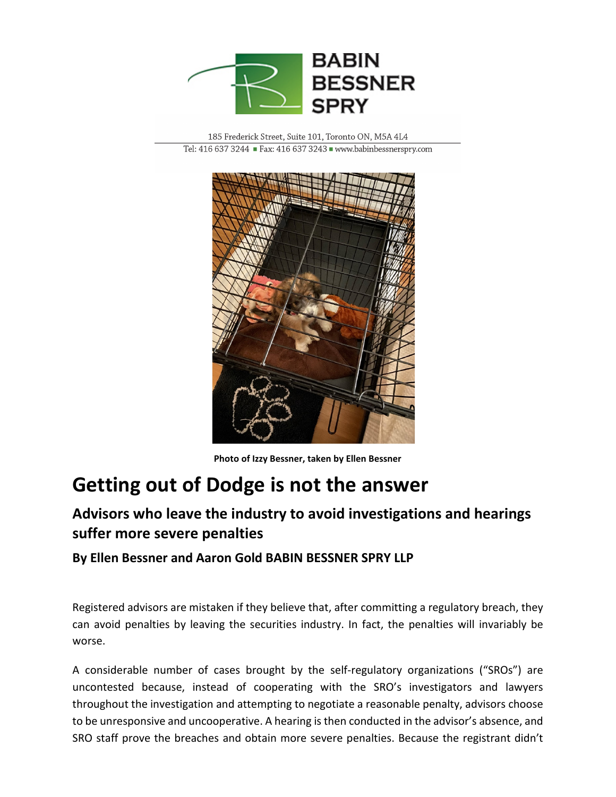

185 Frederick Street, Suite 101, Toronto ON, M5A 4L4 Tel: 416 637 3244 Fax: 416 637 3243 Www.babinbessnerspry.com



**Photo of Izzy Bessner, taken by Ellen Bessner**

## **Getting out of Dodge is not the answer**

## **Advisors who leave the industry to avoid investigations and hearings suffer more severe penalties**

**By Ellen Bessner and Aaron Gold BABIN BESSNER SPRY LLP**

Registered advisors are mistaken if they believe that, after committing a regulatory breach, they can avoid penalties by leaving the securities industry. In fact, the penalties will invariably be worse.

A considerable number of cases brought by the self-regulatory organizations ("SROs") are uncontested because, instead of cooperating with the SRO's investigators and lawyers throughout the investigation and attempting to negotiate a reasonable penalty, advisors choose to be unresponsive and uncooperative. A hearing is then conducted in the advisor's absence, and SRO staff prove the breaches and obtain more severe penalties. Because the registrant didn't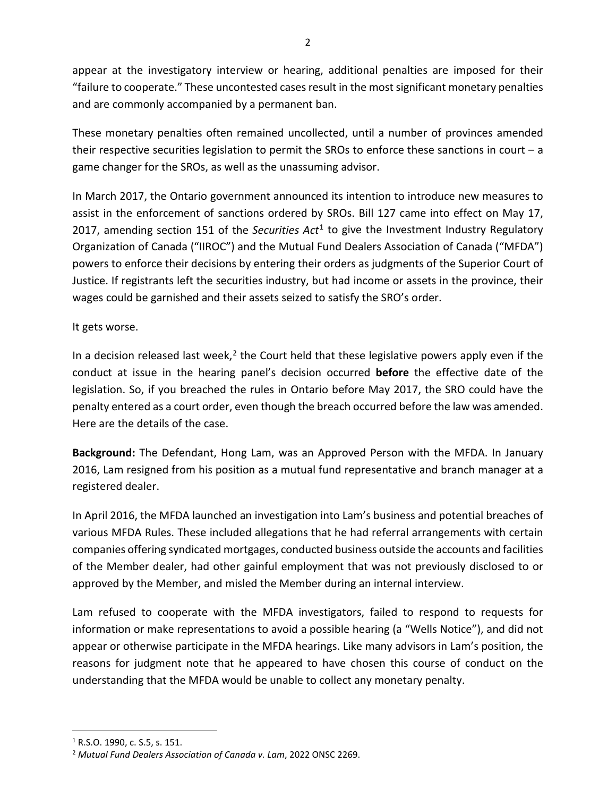appear at the investigatory interview or hearing, additional penalties are imposed for their "failure to cooperate." These uncontested cases result in the most significant monetary penalties and are commonly accompanied by a permanent ban.

These monetary penalties often remained uncollected, until a number of provinces amended their respective securities legislation to permit the SROs to enforce these sanctions in court  $-a$ game changer for the SROs, as well as the unassuming advisor.

In March 2017, the Ontario government announced its intention to introduce new measures to assist in the enforcement of sanctions ordered by SROs. Bill 127 came into effect on May 17, 2017, amending section 151 of the *Securities Act*[1](#page-1-0) to give the Investment Industry Regulatory Organization of Canada ("IIROC") and the Mutual Fund Dealers Association of Canada ("MFDA") powers to enforce their decisions by entering their orders as judgments of the Superior Court of Justice. If registrants left the securities industry, but had income or assets in the province, their wages could be garnished and their assets seized to satisfy the SRO's order.

## It gets worse.

In a decision released last week, $<sup>2</sup>$  $<sup>2</sup>$  $<sup>2</sup>$  the Court held that these legislative powers apply even if the</sup> conduct at issue in the hearing panel's decision occurred **before** the effective date of the legislation. So, if you breached the rules in Ontario before May 2017, the SRO could have the penalty entered as a court order, even though the breach occurred before the law was amended. Here are the details of the case.

**Background:** The Defendant, Hong Lam, was an Approved Person with the MFDA. In January 2016, Lam resigned from his position as a mutual fund representative and branch manager at a registered dealer.

In April 2016, the MFDA launched an investigation into Lam's business and potential breaches of various MFDA Rules. These included allegations that he had referral arrangements with certain companies offering syndicated mortgages, conducted business outside the accounts and facilities of the Member dealer, had other gainful employment that was not previously disclosed to or approved by the Member, and misled the Member during an internal interview.

Lam refused to cooperate with the MFDA investigators, failed to respond to requests for information or make representations to avoid a possible hearing (a "Wells Notice"), and did not appear or otherwise participate in the MFDA hearings. Like many advisors in Lam's position, the reasons for judgment note that he appeared to have chosen this course of conduct on the understanding that the MFDA would be unable to collect any monetary penalty.

<span id="page-1-0"></span><sup>1</sup> R.S.O. 1990, c. S.5, s. 151.

<span id="page-1-1"></span><sup>2</sup> *Mutual Fund Dealers Association of Canada v. Lam*, 2022 ONSC 2269.